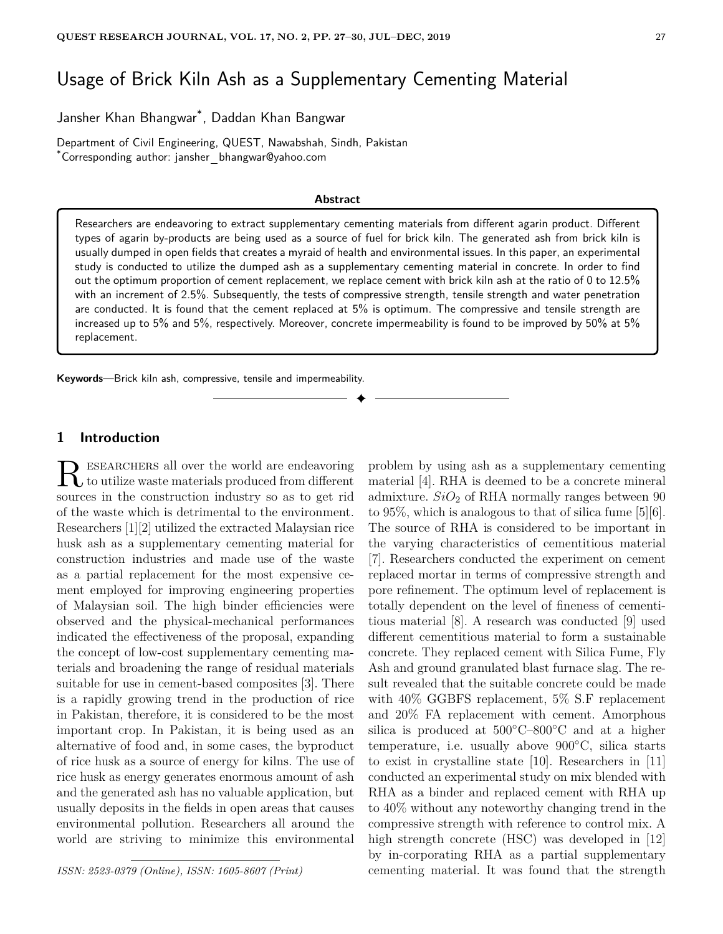# Usage of Brick Kiln Ash as a Supplementary Cementing Material

Jansher Khan Bhangwar\* , Daddan Khan Bangwar

Department of Civil Engineering, QUEST, Nawabshah, Sindh, Pakistan \*Corresponding author: jansher bhangwar@yahoo.com

#### **Abstract**

Researchers are endeavoring to extract supplementary cementing materials from different agarin product. Different types of agarin by-products are being used as a source of fuel for brick kiln. The generated ash from brick kiln is usually dumped in open fields that creates a myraid of health and environmental issues. In this paper, an experimental study is conducted to utilize the dumped ash as a supplementary cementing material in concrete. In order to find out the optimum proportion of cement replacement, we replace cement with brick kiln ash at the ratio of 0 to 12.5% with an increment of 2.5%. Subsequently, the tests of compressive strength, tensile strength and water penetration are conducted. It is found that the cement replaced at 5% is optimum. The compressive and tensile strength are increased up to 5% and 5%, respectively. Moreover, concrete impermeability is found to be improved by 50% at 5% replacement.

✦

**Keywords**—Brick kiln ash, compressive, tensile and impermeability.

## **1 Introduction**

R ESEARCHERS all over the world are endeavoring<br>to utilize waste materials produced from different esearchers all over the world are endeavoring sources in the construction industry so as to get rid of the waste which is detrimental to the environment. Researchers [1][2] utilized the extracted Malaysian rice husk ash as a supplementary cementing material for construction industries and made use of the waste as a partial replacement for the most expensive cement employed for improving engineering properties of Malaysian soil. The high binder efficiencies were observed and the physical-mechanical performances indicated the effectiveness of the proposal, expanding the concept of low-cost supplementary cementing materials and broadening the range of residual materials suitable for use in cement-based composites [3]. There is a rapidly growing trend in the production of rice in Pakistan, therefore, it is considered to be the most important crop. In Pakistan, it is being used as an alternative of food and, in some cases, the byproduct of rice husk as a source of energy for kilns. The use of rice husk as energy generates enormous amount of ash and the generated ash has no valuable application, but usually deposits in the fields in open areas that causes environmental pollution. Researchers all around the world are striving to minimize this environmental

*ISSN: 2523-0379 (Online), ISSN: 1605-8607 (Print)*

problem by using ash as a supplementary cementing material [4]. RHA is deemed to be a concrete mineral admixture.  $SiO<sub>2</sub>$  of RHA normally ranges between 90 to 95%, which is analogous to that of silica fume [5][6]. The source of RHA is considered to be important in the varying characteristics of cementitious material [7]. Researchers conducted the experiment on cement replaced mortar in terms of compressive strength and pore refinement. The optimum level of replacement is totally dependent on the level of fineness of cementitious material [8]. A research was conducted [9] used different cementitious material to form a sustainable concrete. They replaced cement with Silica Fume, Fly Ash and ground granulated blast furnace slag. The result revealed that the suitable concrete could be made with 40% GGBFS replacement, 5% S.F replacement and 20% FA replacement with cement. Amorphous silica is produced at  $500^{\circ}$ C–800°C and at a higher temperature, i.e. usually above 900◦C, silica starts to exist in crystalline state [10]. Researchers in [11] conducted an experimental study on mix blended with RHA as a binder and replaced cement with RHA up to 40% without any noteworthy changing trend in the compressive strength with reference to control mix. A high strength concrete (HSC) was developed in [12] by in-corporating RHA as a partial supplementary cementing material. It was found that the strength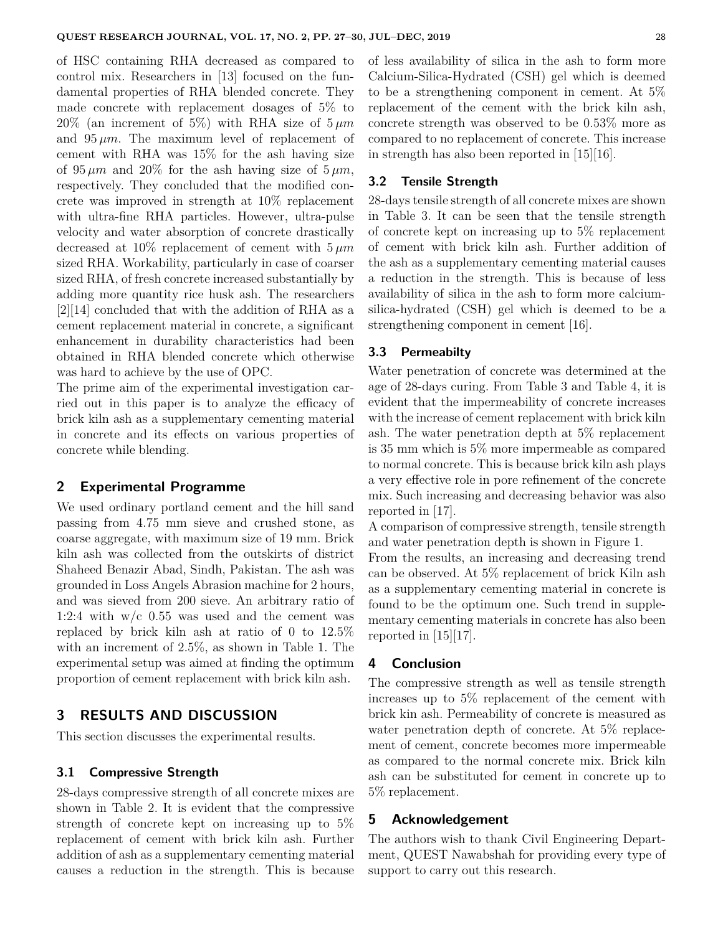of HSC containing RHA decreased as compared to control mix. Researchers in [13] focused on the fundamental properties of RHA blended concrete. They made concrete with replacement dosages of 5% to  $20\%$  (an increment of 5%) with RHA size of  $5 \mu m$ and  $95 \mu m$ . The maximum level of replacement of cement with RHA was 15% for the ash having size of  $95 \mu m$  and  $20\%$  for the ash having size of  $5 \mu m$ , respectively. They concluded that the modified concrete was improved in strength at 10% replacement with ultra-fine RHA particles. However, ultra-pulse velocity and water absorption of concrete drastically decreased at  $10\%$  replacement of cement with  $5 \mu m$ sized RHA. Workability, particularly in case of coarser sized RHA, of fresh concrete increased substantially by adding more quantity rice husk ash. The researchers [2][14] concluded that with the addition of RHA as a cement replacement material in concrete, a significant enhancement in durability characteristics had been obtained in RHA blended concrete which otherwise was hard to achieve by the use of OPC.

The prime aim of the experimental investigation carried out in this paper is to analyze the efficacy of brick kiln ash as a supplementary cementing material in concrete and its effects on various properties of concrete while blending.

## **2 Experimental Programme**

We used ordinary portland cement and the hill sand passing from 4.75 mm sieve and crushed stone, as coarse aggregate, with maximum size of 19 mm. Brick kiln ash was collected from the outskirts of district Shaheed Benazir Abad, Sindh, Pakistan. The ash was grounded in Loss Angels Abrasion machine for 2 hours, and was sieved from 200 sieve. An arbitrary ratio of 1:2:4 with  $w/c$  0.55 was used and the cement was replaced by brick kiln ash at ratio of 0 to 12.5% with an increment of 2.5%, as shown in Table 1. The experimental setup was aimed at finding the optimum proportion of cement replacement with brick kiln ash.

# **3 RESULTS AND DISCUSSION**

This section discusses the experimental results.

### **3.1 Compressive Strength**

28-days compressive strength of all concrete mixes are shown in Table 2. It is evident that the compressive strength of concrete kept on increasing up to 5% replacement of cement with brick kiln ash. Further addition of ash as a supplementary cementing material causes a reduction in the strength. This is because of less availability of silica in the ash to form more Calcium-Silica-Hydrated (CSH) gel which is deemed to be a strengthening component in cement. At 5% replacement of the cement with the brick kiln ash, concrete strength was observed to be 0.53% more as compared to no replacement of concrete. This increase in strength has also been reported in [15][16].

## **3.2 Tensile Strength**

28-days tensile strength of all concrete mixes are shown in Table 3. It can be seen that the tensile strength of concrete kept on increasing up to 5% replacement of cement with brick kiln ash. Further addition of the ash as a supplementary cementing material causes a reduction in the strength. This is because of less availability of silica in the ash to form more calciumsilica-hydrated (CSH) gel which is deemed to be a strengthening component in cement [16].

#### **3.3 Permeabilty**

Water penetration of concrete was determined at the age of 28-days curing. From Table 3 and Table 4, it is evident that the impermeability of concrete increases with the increase of cement replacement with brick kiln ash. The water penetration depth at 5% replacement is 35 mm which is 5% more impermeable as compared to normal concrete. This is because brick kiln ash plays a very effective role in pore refinement of the concrete mix. Such increasing and decreasing behavior was also reported in [17].

A comparison of compressive strength, tensile strength and water penetration depth is shown in Figure 1.

From the results, an increasing and decreasing trend can be observed. At 5% replacement of brick Kiln ash as a supplementary cementing material in concrete is found to be the optimum one. Such trend in supplementary cementing materials in concrete has also been reported in  $[15][17]$ .

## **4 Conclusion**

The compressive strength as well as tensile strength increases up to 5% replacement of the cement with brick kin ash. Permeability of concrete is measured as water penetration depth of concrete. At 5% replacement of cement, concrete becomes more impermeable as compared to the normal concrete mix. Brick kiln ash can be substituted for cement in concrete up to 5% replacement.

## **5 Acknowledgement**

The authors wish to thank Civil Engineering Department, QUEST Nawabshah for providing every type of support to carry out this research.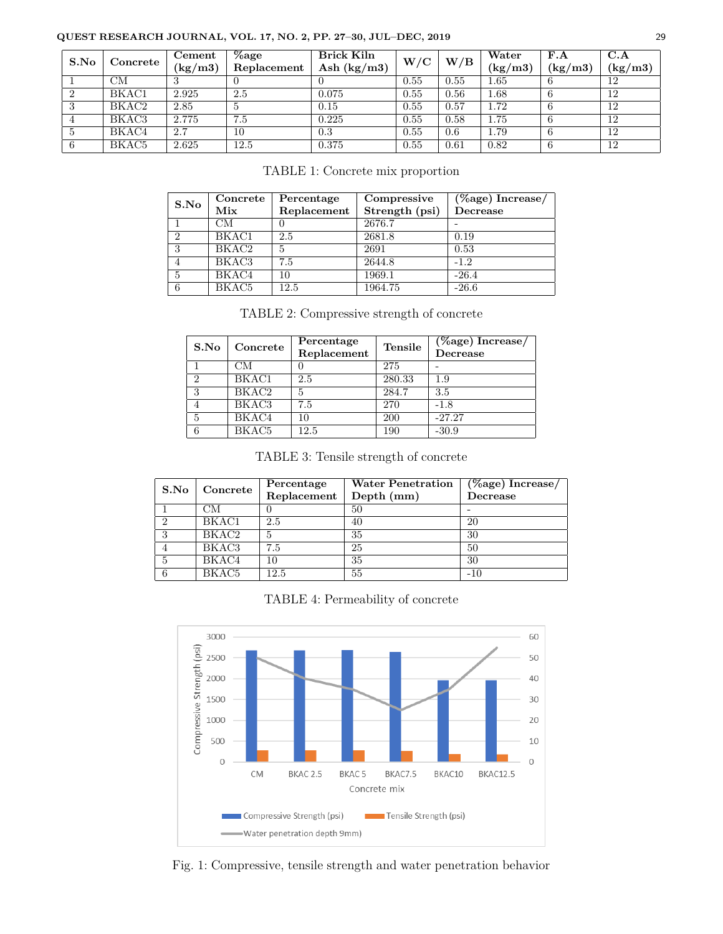#### **QUEST RESEARCH JOURNAL, VOL. 17, NO. 2, PP. 27–30, JUL–DEC, 2019** 29

| S.No | Concrete | Cement        | $\%$ age    | <b>Brick Kiln</b> | W/C  | W/B  | Water    | F.A     | C.A     |
|------|----------|---------------|-------------|-------------------|------|------|----------|---------|---------|
|      |          | $\rm (kg/m3)$ | Replacement | Ash $(kg/m3)$     |      |      | (kg/m3)  | (kg/m3) | (kg/m3) |
|      | CM       |               |             |                   | 0.55 | 0.55 | 1.65     |         | 12      |
|      | BKAC1    | 2.925         | 2.5         | 0.075             | 0.55 | 0.56 | 1.68     |         | 12      |
|      | BKAC2    | 2.85          |             | 0.15              | 0.55 | 0.57 | $1.72\,$ |         | 12      |
|      | BKAC3    | 2.775         | 7.5         | 0.225             | 0.55 | 0.58 | 1.75     |         | 12      |
|      | BKAC4    | 2.7           | 10          | 0.3               | 0.55 | 0.6  | 1.79     |         | 12      |
|      | BKAC5    | 2.625         | 12.5        | 0.375             | 0.55 | 0.61 | 0.82     |         | 12      |

TABLE 1: Concrete mix proportion

| S.No           | Concrete | Percentage  | Compressive    | $(\%$ age) Increase/ |  |
|----------------|----------|-------------|----------------|----------------------|--|
|                | Mix      | Replacement | Strength (psi) | Decrease             |  |
|                | CМ       |             | 2676.7         |                      |  |
| $\overline{2}$ | BKAC1    | 2.5         | 2681.8         | 0.19                 |  |
| 3              | BKAC2    | 5           | 2691           | 0.53                 |  |
| 4              | BKAC3    | 7.5         | 2644.8         | $-1.2$               |  |
| 5              | BKAC4    | 10          | 1969.1         | $-26.4$              |  |
| 6              | BKAC5    | 12.5        | 1964.75        | $-26.6$              |  |

TABLE 2: Compressive strength of concrete

| S.No           | Concrete | Percentage<br>Replacement | <b>Tensile</b> | $\sqrt{(%age) \space}$ Increase/<br>Decrease |
|----------------|----------|---------------------------|----------------|----------------------------------------------|
|                | CМ       |                           | 275            |                                              |
| $\overline{2}$ | BKAC1    | 2.5                       | 280.33         | 1.9                                          |
| 3              | BKAC2    | 5                         | 284.7          | 3.5                                          |
| $\overline{4}$ | BKAC3    | 7.5                       | 270            | $-1.8$                                       |
| 5              | BKAC4    | 10                        | 200            | $-27.27$                                     |
| 6              | BKAC5    | 12.5                      | 190            | $-30.9$                                      |

TABLE 3: Tensile strength of concrete

| S.No              | Concrete | Percentage  | <b>Water Penetration</b> | $(\%$ age) Increase/ |  |
|-------------------|----------|-------------|--------------------------|----------------------|--|
|                   |          | Replacement | Depth (mm)               | Decrease             |  |
|                   | CМ       |             | 50                       |                      |  |
| $\overline{2}$    | BKAC1    | 2.5         | 40                       | 20                   |  |
| $\mathbf{\Omega}$ | BKAC2    | 5           | 35                       | 30                   |  |
|                   | BKAC3    | 7.5         | 25                       | 50                   |  |
| 5                 | BKAC4    | 10          | 35                       | 30                   |  |
| 6                 | BKAC5    | $12.5\,$    | 55                       | $-10$                |  |

TABLE 4: Permeability of concrete



Fig. 1: Compressive, tensile strength and water penetration behavior